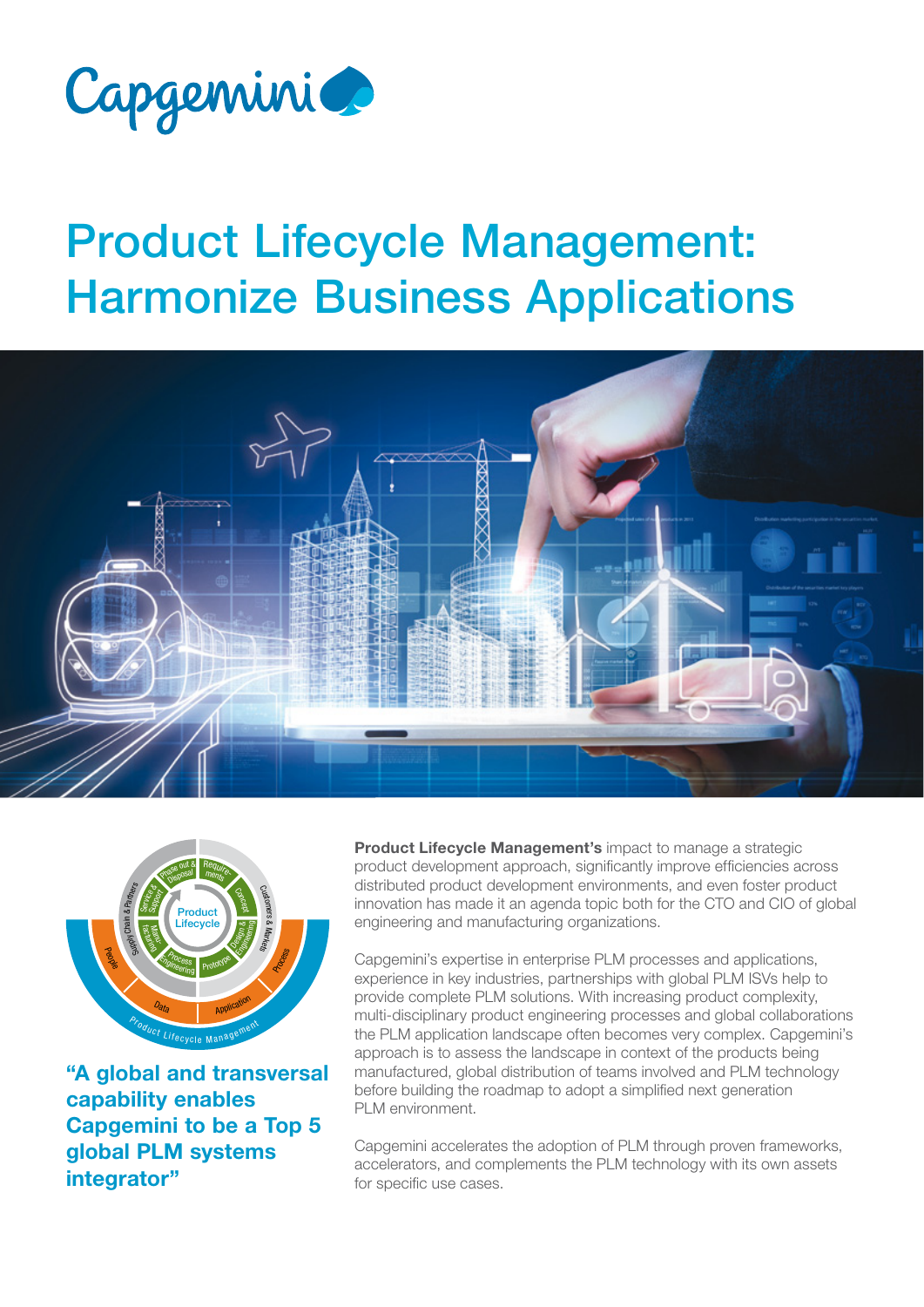

## Product Lifecycle Management: Harmonize Business Applications





"A global and transversal capability enables Capgemini to be a Top 5 global PLM systems integrator"

Product Lifecycle Management's impact to manage a strategic product development approach, significantly improve efficiencies across distributed product development environments, and even foster product innovation has made it an agenda topic both for the CTO and CIO of global engineering and manufacturing organizations.

Capgemini's expertise in enterprise PLM processes and applications, experience in key industries, partnerships with global PLM ISVs help to provide complete PLM solutions. With increasing product complexity, multi-disciplinary product engineering processes and global collaborations the PLM application landscape often becomes very complex. Capgemini's approach is to assess the landscape in context of the products being manufactured, global distribution of teams involved and PLM technology before building the roadmap to adopt a simplified next generation PLM environment.

Capgemini accelerates the adoption of PLM through proven frameworks, accelerators, and complements the PLM technology with its own assets for specific use cases.